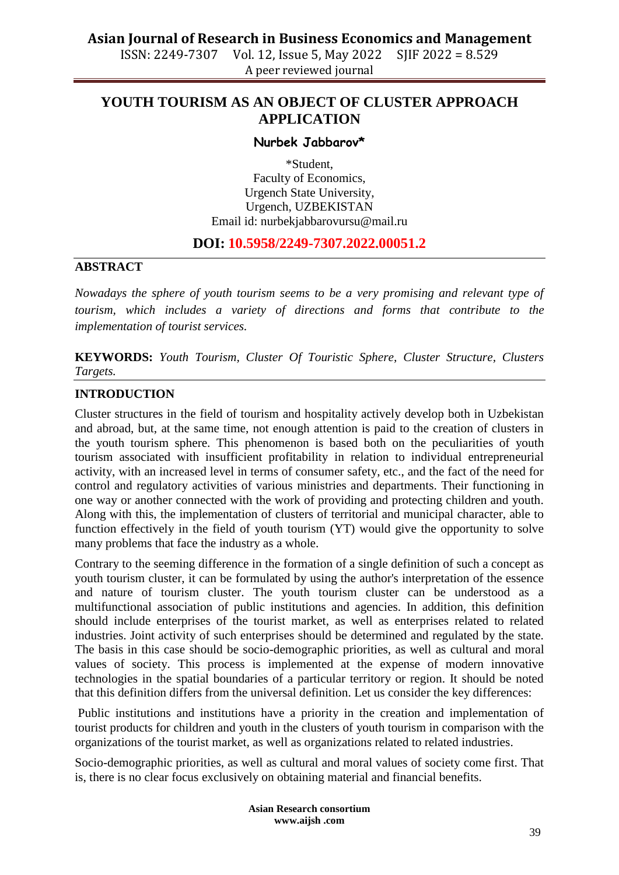# **Asian Journal of Research in Business Economics and Management**

ISSN: 2249-7307 Vol. 12, Issue 5, May 2022 SJIF 2022 = 8.529 A peer reviewed journal

# **YOUTH TOURISM AS AN OBJECT OF CLUSTER APPROACH APPLICATION**

#### **Nurbek Jabbarov\***

\*Student, Faculty of Economics, Urgench State University, Urgench, UZBEKISTAN Email id: [nurbekjabbarovursu@mail.ru](mailto:nurbekjabbarovursu@mail.ru)

# **DOI: 10.5958/2249-7307.2022.00051.2**

#### **ABSTRACT**

*Nowadays the sphere of youth tourism seems to be a very promising and relevant type of tourism, which includes a variety of directions and forms that contribute to the implementation of tourist services.*

**KEYWORDS:** *Youth Tourism, Cluster Of Touristic Sphere, Cluster Structure, Clusters Targets.*

## **INTRODUCTION**

Cluster structures in the field of tourism and hospitality actively develop both in Uzbekistan and abroad, but, at the same time, not enough attention is paid to the creation of clusters in the youth tourism sphere. This phenomenon is based both on the peculiarities of youth tourism associated with insufficient profitability in relation to individual entrepreneurial activity, with an increased level in terms of consumer safety, etc., and the fact of the need for control and regulatory activities of various ministries and departments. Their functioning in one way or another connected with the work of providing and protecting children and youth. Along with this, the implementation of clusters of territorial and municipal character, able to function effectively in the field of youth tourism (YT) would give the opportunity to solve many problems that face the industry as a whole.

Contrary to the seeming difference in the formation of a single definition of such a concept as youth tourism cluster, it can be formulated by using the author's interpretation of the essence and nature of tourism cluster. The youth tourism cluster can be understood as a multifunctional association of public institutions and agencies. In addition, this definition should include enterprises of the tourist market, as well as enterprises related to related industries. Joint activity of such enterprises should be determined and regulated by the state. The basis in this case should be socio-demographic priorities, as well as cultural and moral values of society. This process is implemented at the expense of modern innovative technologies in the spatial boundaries of a particular territory or region. It should be noted that this definition differs from the universal definition. Let us consider the key differences:

Public institutions and institutions have a priority in the creation and implementation of tourist products for children and youth in the clusters of youth tourism in comparison with the organizations of the tourist market, as well as organizations related to related industries.

Socio-demographic priorities, as well as cultural and moral values of society come first. That is, there is no clear focus exclusively on obtaining material and financial benefits.

> **Asian Research consortium www.aijsh .com**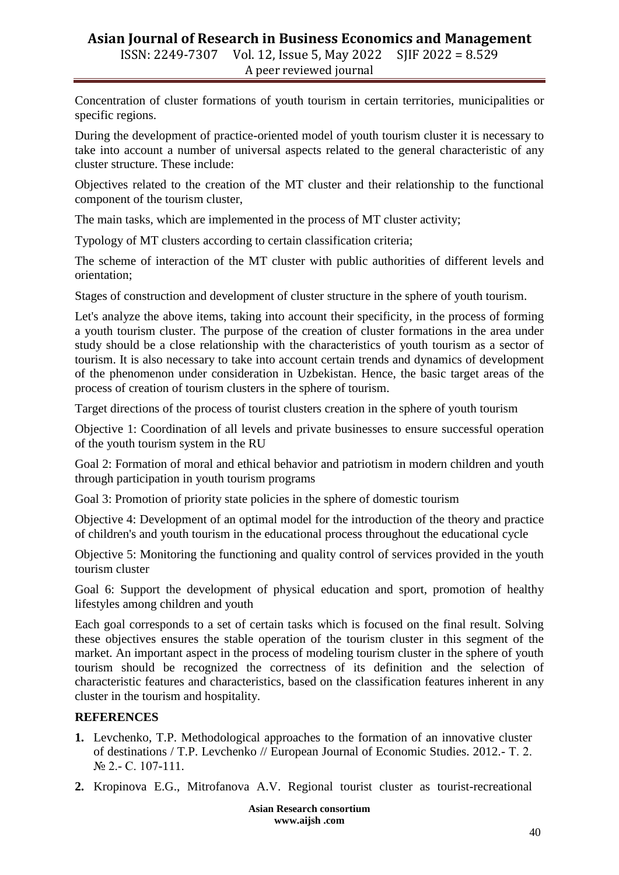# **Asian Journal of Research in Business Economics and Management** ISSN: 2249-7307 Vol. 12, Issue 5, May 2022 SJIF 2022 = 8.529 A peer reviewed journal

Concentration of cluster formations of youth tourism in certain territories, municipalities or specific regions.

During the development of practice-oriented model of youth tourism cluster it is necessary to take into account a number of universal aspects related to the general characteristic of any cluster structure. These include:

Objectives related to the creation of the MT cluster and their relationship to the functional component of the tourism cluster,

The main tasks, which are implemented in the process of MT cluster activity;

Typology of MT clusters according to certain classification criteria;

The scheme of interaction of the MT cluster with public authorities of different levels and orientation;

Stages of construction and development of cluster structure in the sphere of youth tourism.

Let's analyze the above items, taking into account their specificity, in the process of forming a youth tourism cluster. The purpose of the creation of cluster formations in the area under study should be a close relationship with the characteristics of youth tourism as a sector of tourism. It is also necessary to take into account certain trends and dynamics of development of the phenomenon under consideration in Uzbekistan. Hence, the basic target areas of the process of creation of tourism clusters in the sphere of tourism.

Target directions of the process of tourist clusters creation in the sphere of youth tourism

Objective 1: Coordination of all levels and private businesses to ensure successful operation of the youth tourism system in the RU

Goal 2: Formation of moral and ethical behavior and patriotism in modern children and youth through participation in youth tourism programs

Goal 3: Promotion of priority state policies in the sphere of domestic tourism

Objective 4: Development of an optimal model for the introduction of the theory and practice of children's and youth tourism in the educational process throughout the educational cycle

Objective 5: Monitoring the functioning and quality control of services provided in the youth tourism cluster

Goal 6: Support the development of physical education and sport, promotion of healthy lifestyles among children and youth

Each goal corresponds to a set of certain tasks which is focused on the final result. Solving these objectives ensures the stable operation of the tourism cluster in this segment of the market. An important aspect in the process of modeling tourism cluster in the sphere of youth tourism should be recognized the correctness of its definition and the selection of characteristic features and characteristics, based on the classification features inherent in any cluster in the tourism and hospitality.

## **REFERENCES**

- **1.** Levchenko, T.P. Methodological approaches to the formation of an innovative cluster of destinations / T.P. Levchenko // European Journal of Economic Studies. 2012.- Т. 2. № 2.- С. 107-111.
- **2.** Kropinova E.G., Mitrofanova A.V. Regional tourist cluster as tourist-recreational

**Asian Research consortium www.aijsh .com**